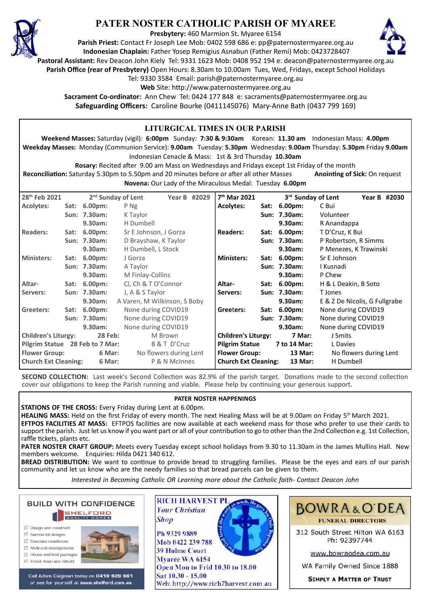

# **PATER NOSTER CATHOLIC PARISH OF MYAREE**

**Presbytery:** 460 Marmion St. Myaree 6154

**Parish Priest:** Contact Fr Joseph Lee Mob: 0402 598 686 e: pp@paternostermyaree.org.au **Indonesian Chaplain:** Father Yosep Remigius Asnabun (Father Remi) Mob: 0423728407



**Pastoral Assistant:** Rev Deacon John Kiely Tel: 9331 1623 Mob: 0408 952 194 e: deacon@paternostermyaree.org.au

**Parish Office (rear of Presbytery)** Open Hours: 8.30am to 10.00am Tues, Wed, Fridays, except School Holidays

Tel: 9330 3584 Email: parish@paternostermyaree.org.au

Web Site: http://www.paternostermyaree.org.au

**Sacrament Co-ordinator:** Ann Chew Tel: 0424 177 848 e: sacraments@paternostermyaree.org.au **Safeguarding Officers:** Caroline Bourke (0411145076) Mary-Anne Bath (0437 799 169)

#### **LITURGICAL TIMES IN OUR PARISH Weekend Masses:** Saturday (vigil): **6:00pm** Sunday: **7:30 & 9:30am** Korean: **11.30 am** Indonesian Mass: **4.00pm Weekday Masses:** Monday (Communion Service): **9.00am** Tuesday: **5.30pm** Wednesday: **9.00am** Thursday: **5.30pm** Friday **9.00am** Indonesian Cenacle & Mass: 1st & 3rd Thursday **10.30am Rosary:** Recited a�er 9.00 am Mass on Wednesdays and Fridays except 1st Friday of the month **Reconciliation:** Saturday 5.30pm to 5.50pm and 20 minutes before or after all other Masses **Anointing of Sick:** On request **Novena:** Our Lady of the Miraculous Medal: Tuesday **6.00pm 28th Feb 2021 2nd Sunday of Lent Year B #2029 Acolytes: Sat: 6.00pm:** P Ng Sun: 7.30am: K Taylor **9.30am:** H Dumbell **Readers: Sat: 6.00pm:** Sr E Johnson, J Gorza **Sun: 7.30am:** D Brayshaw, K Taylor **9.30am:** H Dumbell, L Stock **Ministers: Sat: 6.00pm:** J Gorza **Sun: 7.30am:** A Taylor **9.30am:** M Finlay-Collins **Altar- Sat: 6.00pm:** Cl, Ch & T O'Connor **Servers: Sun: 7.30am:** J, A & S Taylor **9.30am:** A Varen, M Wilkinson, S Boby Greeters: Sat: 6.00pm: None during COVID19<br>Sun: 7.30am: None during COVID19 **None during COVID19 9.30am:** None during COVID19 **Children's Liturgy: 28 Feb:** M Brown **Pilgrim Statue 28 Feb to 7 Mar:** B & T D'Cruz Flower Group: 6 Mar: No flowers during Lent **Church Ext Cleaning: 6 Mar:** P & N McInnes 7<sup>th</sup> Mar 2021 **th Mar 2021 3rd Sunday of Lent Year B #2030 Acolytes: Sat: 6.00pm:** C Bui **Sun: 7.30am:** Volunteer **9.30am:** R Anandappa **Readers: Sat: 6.00pm:** T D'Cruz, K Bui **Sun: 7.30am:** P Robertson, R Simms **9.30am:** P Menezes, K Trawinski **Ministers: Sat: 6.00pm:** Sr E Johnson **Sun: 7.30am:** I Kusnadi **9.30am:** P Chew **Altar- Sat: 6.00pm:** H & L Deakin, B Soto **Servers: Sun: 7.30am:** T Jones **9.30am:** E & Z De Nicolis, G Fullgrabe **Gree**t**ers: Sat: 6.00pm:** None during COVID19 **Sun: 7.30am:** None during COVID19 **9.30am:** None during COVID19 **Children's Liturgy: 7 Mar:** J Smits **Pilgrim Statue 7 to 14 Mar:** L Davies **Flower Group: 13 Mar:** No flowers during Lent **Church Ext Cleaning: 13 Mar:** H Dumbell

**SECOND COLLECTION:** Last week's Second Collection was 82.9% of the parish target. Donations made to the second collection cover our obligations to keep the Parish running and viable. Please help by continuing your generous support.

#### **PATER NOSTER HAPPENINGS**

**STATIONS OF THE CROSS:** Every Friday during Lent at 6.00pm.

**HEALING MASS:** Held on the first Friday of every month. The next Healing Mass will be at 9.00am on Friday 5th March 2021. **EFTPOS FACILITIES AT MASS:** EFTPOS facili�es are now available at each weekend mass for those who prefer to use their cards to support the parish. Just let us know if you want part or all of your contribution to go to other than the 2nd Collection e.g. 1st Collection, raffle tickets, plants etc.

**PATER NOSTER CRAFT GROUP:** Meets every Tuesday except school holidays from 9.30 to 11.30am in the James Mullins Hall. New members welcome. Enquiries: Hilda 0421 340 612.

**BREAD DISTRIBUTION:** We want to continue to provide bread to struggling families. Please be the eyes and ears of our parish community and let us know who are the needy families so that bread parcels can be given to them.

*Interested in Becoming Catholic OR Learning more about the Catholic faith- Contact Deacon John*

**BUILD WITH CONFIDENCE SHELFORD** □ Design and construct

- $\triangledown$  Narrow lot designe
- $\triangledown$  Executive residences
- $\overrightarrow{2}$  Multi-unit developments
- M House and land packages
- ☑ Knock down and rebuild



Call Adam Calginari today on 0419 929 961 or see for yourself at www.shelford.com.au



Mob 0422 239 788 **39 Hulme Court** Mvaree WA 6154 Open Mon to Frid 10.30 to 18.00 Sat 10.30 - 15.00 Web: http://www.rich7harvest.com.au



312 South Street Hilton WA 6163 Ph: 92397744

www.bowraodea.com.au

WA Family Owned Since 1888

**SIMPLY A MATTER OF TRUST**